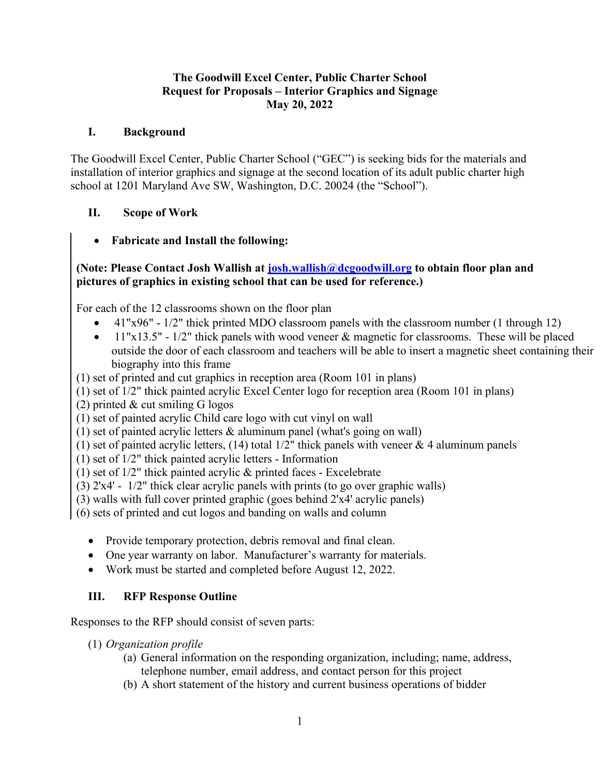#### **The Goodwill Excel Center, Public Charter School Request for Proposals – Interior Graphics and Signage May 20, 2022**

### **I. Background**

The Goodwill Excel Center, Public Charter School ("GEC") is seeking bids for the materials and installation of interior graphics and signage at the second location of its adult public charter high school at 1201 Maryland Ave SW, Washington, D.C. 20024 (the "School").

# **II. Scope of Work**

• **Fabricate and Install the following:**

### **(Note: Please Contact Josh Wallish at [josh.wallish@dcgoodwill.org](mailto:josh.wallish@dcgoodwill.org) to obtain floor plan and pictures of graphics in existing school that can be used for reference.)**

For each of the 12 classrooms shown on the floor plan

- 41"x96" 1/2" thick printed MDO classroom panels with the classroom number (1 through 12)
- 11"x13.5" 1/2" thick panels with wood veneer & magnetic for classrooms. These will be placed outside the door of each classroom and teachers will be able to insert a magnetic sheet containing their biography into this frame

(1) set of printed and cut graphics in reception area (Room 101 in plans)

(1) set of 1/2" thick painted acrylic Excel Center logo for reception area (Room 101 in plans)

(2) printed & cut smiling G logos

(1) set of painted acrylic Child care logo with cut vinyl on wall

(1) set of painted acrylic letters & aluminum panel (what's going on wall)

(1) set of painted acrylic letters,  $(14)$  total  $1/2$ " thick panels with veneer & 4 aluminum panels

(1) set of 1/2" thick painted acrylic letters - Information

(1) set of 1/2" thick painted acrylic & printed faces - Excelebrate

(3) 2'x4' - 1/2" thick clear acrylic panels with prints (to go over graphic walls)

(3) walls with full cover printed graphic (goes behind 2'x4' acrylic panels)

(6) sets of printed and cut logos and banding on walls and column

- Provide temporary protection, debris removal and final clean.
- One year warranty on labor. Manufacturer's warranty for materials.
- Work must be started and completed before August 12, 2022.

# **III. RFP Response Outline**

Responses to the RFP should consist of seven parts:

- (1) *Organization profile*
	- (a) General information on the responding organization, including; name, address, telephone number, email address, and contact person for this project
	- (b) A short statement of the history and current business operations of bidder